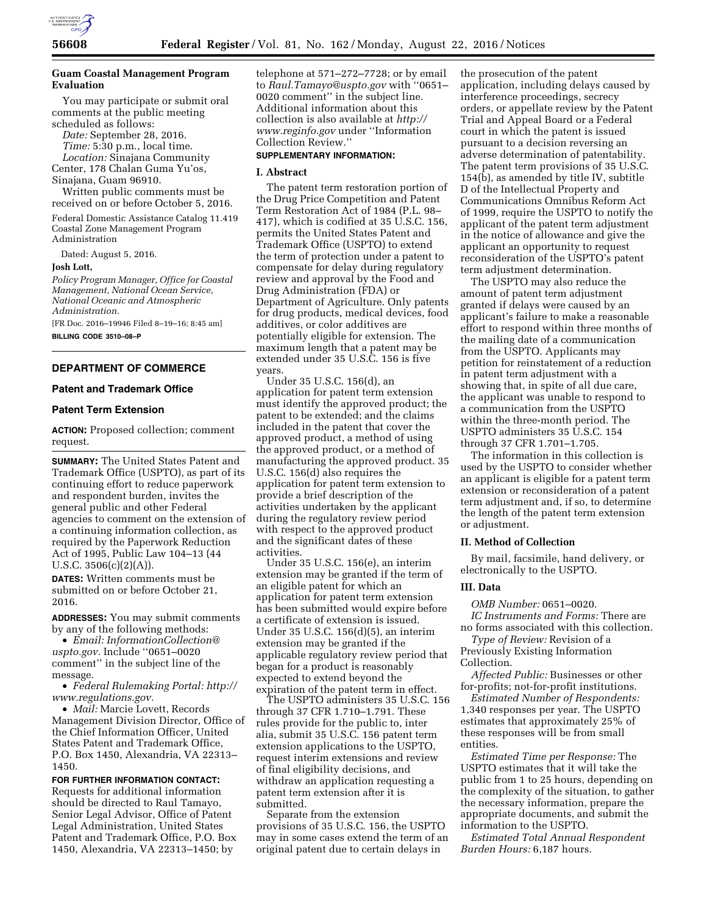

# **Guam Coastal Management Program Evaluation**

You may participate or submit oral comments at the public meeting scheduled as follows:

*Date:* September 28, 2016.

*Time:* 5:30 p.m., local time.

*Location:* Sinajana Community Center, 178 Chalan Guma Yu'os, Sinajana, Guam 96910.

Written public comments must be received on or before October 5, 2016.

Federal Domestic Assistance Catalog 11.419 Coastal Zone Management Program Administration

Dated: August 5, 2016.

#### **Josh Lott,**

*Policy Program Manager, Office for Coastal Management, National Ocean Service, National Oceanic and Atmospheric Administration.* 

[FR Doc. 2016–19946 Filed 8–19–16; 8:45 am] **BILLING CODE 3510–08–P** 

## **DEPARTMENT OF COMMERCE**

### **Patent and Trademark Office**

### **Patent Term Extension**

**ACTION:** Proposed collection; comment request.

**SUMMARY:** The United States Patent and Trademark Office (USPTO), as part of its continuing effort to reduce paperwork and respondent burden, invites the general public and other Federal agencies to comment on the extension of a continuing information collection, as required by the Paperwork Reduction Act of 1995, Public Law 104–13 (44 U.S.C.  $3506(c)(2)(A)$ ).

**DATES:** Written comments must be submitted on or before October 21, 2016.

**ADDRESSES:** You may submit comments by any of the following methods:

• *Email: [InformationCollection@](mailto:InformationCollection@uspto.gov) [uspto.gov.](mailto:InformationCollection@uspto.gov)* Include ''0651–0020 comment'' in the subject line of the message.

• *Federal Rulemaking Portal: [http://](http://www.regulations.gov) [www.regulations.gov.](http://www.regulations.gov)* 

• *Mail:* Marcie Lovett, Records Management Division Director, Office of the Chief Information Officer, United States Patent and Trademark Office, P.O. Box 1450, Alexandria, VA 22313– 1450.

**FOR FURTHER INFORMATION CONTACT:**  Requests for additional information should be directed to Raul Tamayo, Senior Legal Advisor, Office of Patent Legal Administration, United States Patent and Trademark Office, P.O. Box 1450, Alexandria, VA 22313–1450; by

telephone at 571–272–7728; or by email to *[Raul.Tamayo@uspto.gov](mailto:Raul.Tamayo@uspto.gov)* with ''0651– 0020 comment'' in the subject line. Additional information about this collection is also available at *[http://](http://www.reginfo.gov) [www.reginfo.gov](http://www.reginfo.gov)* under ''Information Collection Review.''

# **SUPPLEMENTARY INFORMATION:**

### **I. Abstract**

The patent term restoration portion of the Drug Price Competition and Patent Term Restoration Act of 1984 (P.L. 98– 417), which is codified at 35 U.S.C. 156, permits the United States Patent and Trademark Office (USPTO) to extend the term of protection under a patent to compensate for delay during regulatory review and approval by the Food and Drug Administration (FDA) or Department of Agriculture. Only patents for drug products, medical devices, food additives, or color additives are potentially eligible for extension. The maximum length that a patent may be extended under 35 U.S.C. 156 is five years.

Under 35 U.S.C. 156(d), an application for patent term extension must identify the approved product; the patent to be extended; and the claims included in the patent that cover the approved product, a method of using the approved product, or a method of manufacturing the approved product. 35 U.S.C. 156(d) also requires the application for patent term extension to provide a brief description of the activities undertaken by the applicant during the regulatory review period with respect to the approved product and the significant dates of these activities.

Under 35 U.S.C. 156(e), an interim extension may be granted if the term of an eligible patent for which an application for patent term extension has been submitted would expire before a certificate of extension is issued. Under 35 U.S.C. 156(d)(5), an interim extension may be granted if the applicable regulatory review period that began for a product is reasonably expected to extend beyond the expiration of the patent term in effect.

The USPTO administers 35 U.S.C. 156 through 37 CFR 1.710–1.791. These rules provide for the public to, inter alia, submit 35 U.S.C. 156 patent term extension applications to the USPTO, request interim extensions and review of final eligibility decisions, and withdraw an application requesting a patent term extension after it is submitted.

Separate from the extension provisions of 35 U.S.C. 156, the USPTO may in some cases extend the term of an original patent due to certain delays in

the prosecution of the patent application, including delays caused by interference proceedings, secrecy orders, or appellate review by the Patent Trial and Appeal Board or a Federal court in which the patent is issued pursuant to a decision reversing an adverse determination of patentability. The patent term provisions of 35 U.S.C. 154(b), as amended by title IV, subtitle D of the Intellectual Property and Communications Omnibus Reform Act of 1999, require the USPTO to notify the applicant of the patent term adjustment in the notice of allowance and give the applicant an opportunity to request reconsideration of the USPTO's patent term adjustment determination.

The USPTO may also reduce the amount of patent term adjustment granted if delays were caused by an applicant's failure to make a reasonable effort to respond within three months of the mailing date of a communication from the USPTO. Applicants may petition for reinstatement of a reduction in patent term adjustment with a showing that, in spite of all due care, the applicant was unable to respond to a communication from the USPTO within the three-month period. The USPTO administers 35 U.S.C. 154 through 37 CFR 1.701–1.705.

The information in this collection is used by the USPTO to consider whether an applicant is eligible for a patent term extension or reconsideration of a patent term adjustment and, if so, to determine the length of the patent term extension or adjustment.

### **II. Method of Collection**

By mail, facsimile, hand delivery, or electronically to the USPTO.

## **III. Data**

*OMB Number:* 0651–0020.

*IC Instruments and Forms:* There are no forms associated with this collection.

*Type of Review:* Revision of a Previously Existing Information Collection.

*Affected Public:* Businesses or other for-profits; not-for-profit institutions.

*Estimated Number of Respondents:*  1,340 responses per year. The USPTO estimates that approximately 25% of these responses will be from small entities.

*Estimated Time per Response:* The USPTO estimates that it will take the public from 1 to 25 hours, depending on the complexity of the situation, to gather the necessary information, prepare the appropriate documents, and submit the information to the USPTO.

*Estimated Total Annual Respondent Burden Hours:* 6,187 hours.